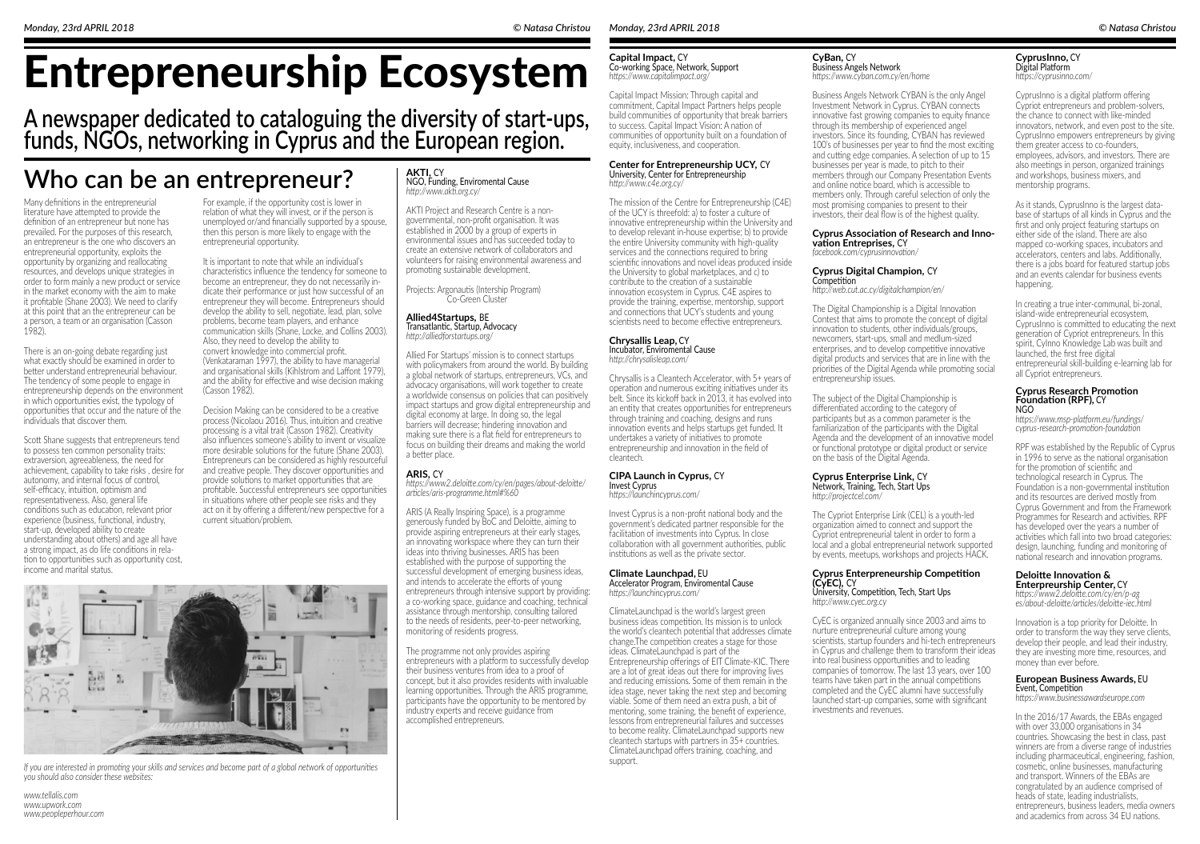# Entrepreneurship Ecosystem

# **A newspaper dedicated to cataloguing the diversity of start-ups, funds, NGOs, networking in Cyprus and the European region.**

# **Who can be an entrepreneur?**

Many definitions in the entrepreneurial literature have attempted to provide the definition of an entrepreneur but none has prevailed. For the purposes of this research, an entrepreneur is the one who discovers an entrepreneurial opportunity, exploits the opportunity by organizing and reallocating resources, and develops unique strategies in order to form mainly a new product or service in the market economy with the aim to make it profitable (Shane 2003). We need to clarify at this point that an the entrepreneur can be a person, a team or an organisation (Casson 1982).

There is an on-going debate regarding just what exactly should be examined in order to better understand entrepreneurial behaviour. The tendency of some people to engage in entrepreneurship depends on the environment in which opportunities exist, the typology of opportunities that occur and the nature of the individuals that discover them.

It is important to note that while an individual's characteristics influence the tendency for someone to become an entrepreneur, they do not necessarily in dicate their performance or just how successful of an entrepreneur they will become. Entrepreneurs should develop the ability to sell, negotiate, lead, plan, solve problems, become team players, and enhance communication skills (Shane, Locke, and Collins 2003). Also, they need to develop the ability to convert knowledge into commercial profit. (Venkataraman 1997), the ability to have managerial and organisational skills (Kihlstrom and Laffont 1979), and the ability for effective and wise decision making (Casson 1982).

Scott Shane suggests that entrepreneurs tend to possess ten common personality traits: extraversion, agreeableness, the need for achievement, capability to take risks , desire for autonomy, and internal focus of control, self-efficacy, intuition, optimism and representativeness. Also, general life conditions such as education, relevant prior experience (business, functional, industry, start-up, developed ability to create understanding about others) and age all have a strong impact, as do life conditions in rela tion to opportunities such as opportunity cost, income and marital status.

For example, if the opportunity cost is lower in relation of what they will invest, or if the person is unemployed or/and financially supported by a spouse, then this person is more likely to engage with the entrepreneurial opportunity.

Decision Making can be considered to be a creative process (Nicolaou 2016). Thus, intuition and creative processing is a vital trait (Casson 1982). Creativity also influences someone's ability to invent or visualize more desirable solutions for the future (Shane 2003). Entrepreneurs can be considered as highly resourceful and creative people. They discover opportunities and provide solutions to market opportunities that are profitable. Successful entrepreneurs see opportunities in situations where other people see risks and they act on it by offering a different/new perspective for a current situation/problem.

# **AKTI,** CY

NGO, Funding, Enviromental Cause *http://www.akti.org.cy/*

AKTI Project and Research Centre is a nongovernmental, non-profit organisation. It was established in 2000 by a group of experts in environmental issues and has succeeded today to create an extensive network of collaborators and volunteers for raising environmental awareness and promoting sustainable development.

Projects: Argonautis (Intership Program) Co-Green Cluster

**Capital Impact,** CY Co-working Space, Network, Support *https://www.capitalimpact.org/*

Capital Impact Mission: Through capital and commitment, Capital Impact Partners helps people build communities of opportunity that break barriers to success. Capital Impact Vision: A nation of communities of opportunity built on a foundation of equity, inclusiveness, and cooperation.

#### **CyBan,** CY Business Angels Network *https://www.cyban.com.cy/en/home*

Business Angels Network CYBAN is the only Angel Investment Network in Cyprus. CYBAN connects innovative fast growing companies to equity finance through its membership of experienced angel investors. Since its founding, CYBAN has reviewed 100's of businesses per year to find the most exciting and cutting edge companies. A selection of up to 15 businesses per year is made, to pitch to their members through our Company Presentation Events and online notice board, which is accessible to members only. Through careful selection of only the most promising companies to present to their investors, their deal flow is of the highest quality.

#### **CyprusInno,** CY Digital Platform *https://cyprusinno.com/*

CyprusInno is a digital platform offering Cypriot entrepreneurs and problem-solvers, the chance to connect with like-minded innovators, network, and even post to the site. CyprusInno empowers entrepreneurs by giving them greater access to co-founders, employees, advisors, and investors. There are also meetings in person, organized trainings and workshops, business mixers, and mentorship programs.

As it stands, CyprusInno is the largest database of startups of all kinds in Cyprus and the first and only project featuring startups on either side of the island. There are also mapped co-working spaces, incubators and accelerators, centers and labs. Additionally, there is a jobs board for featured startup jobs and an events calendar for business events happening.

In creating a true inter-communal, bi-zonal, island-wide entrepreneurial ecosystem, CyprusInno is committed to educating the next generation of Cypriot entrepreneurs. In this spirit, CyInno Knowledge Lab was built and launched, the first free digital entrepreneurial skill-building e-learning lab for all Cypriot entrepreneurs.

# **ARIS,** CY

*https://www2.deloitte.com/cy/en/pages/about-deloitte/ articles/aris-programme.html#%60*

ARIS (A Really Inspiring Space), is a programme generously funded by BoC and Deloitte, aiming to provide aspiring entrepreneurs at their early stages, an innovating workspace where they can turn their ideas into thriving businesses. ARIS has been established with the purpose of supporting the successful development of emerging business ideas, and intends to accelerate the efforts of young entrepreneurs through intensive support by providing: a co-working space, guidance and coaching, technical assistance through mentorship, consulting tailored to the needs of residents, peer-to-peer networking, monitoring of residents progress.

The programme not only provides aspiring entrepreneurs with a platform to successfully develop their business ventures from idea to a proof of concept, but it also provides residents with invaluable learning opportunities. Through the ARIS programme, participants have the opportunity to be mentored by industry experts and receive guidance from accomplished entrepreneurs.

**Allied4Startups,** BE Transatlantic, Startup, Advocacy *http://alliedforstartups.org/*

Allied For Startups' mission is to connect startups with policymakers from around the world. By building a global network of startups, entrepreneurs, VCs, and advocacy organisations, will work together to create a worldwide consensus on policies that can positively impact startups and grow digital entrepreneurship and digital economy at large. In doing so, the legal barriers will decrease; hindering innovation and making sure there is a flat field for entrepreneurs to focus on building their dreams and making the world a better place.

# **Center for Entrepreneurship UCY,** CY

University, Center for Entrepreneurship *http://www.c4e.org.cy/*

The mission of the Centre for Entrepreneurship (C4E) of the UCY is threefold: a) to foster a culture of innovative entrepreneurship within the University and to develop relevant in-house expertise; b) to provide the entire University community with high-quality services and the connections required to bring scientific innovations and novel ideas produced inside the University to global marketplaces, and c) to contribute to the creation of a sustainable innovation ecosystem in Cyprus. C4E aspires to provide the training, expertise, mentorship, support and connections that UCY's students and young scientists need to become effective entrepreneurs.

**Chrysallis Leap,** CY Incubator, Enviromental Cause

*http://chrysalisleap.com/*

Chrysallis is a Cleantech Accelerator, with 5+ years of operation and numerous exciting initiatives under its belt. Since its kickoff back in 2013, it has evolved into an entity that creates opportunities for entrepreneurs through training and coaching, designs and runs innovation events and helps startups get funded. It undertakes a variety of initiatives to promote entrepreneurship and innovation in the field of cleantech.

# **Cyprus Association of Research and Inno- vation Entreprises,** CY

*facebook.com/cyprusinnovation/*

# **CIPA Launch in Cyprus,** CY Invest Cyprus

*https://launchincyprus.com/*

Invest Cyprus is a non-profit national body and the government's dedicated partner responsible for the facilitation of investments into Cyprus. In close collaboration with all government authorities, public institutions as well as the private sector.

#### **European Business Awards,** EU Event, Competition

*https://www.businessawardseurope.com*

In the 2016/17 Awards, the EBAs engaged with over 33,000 organisations in 34 countries. Showcasing the best in class, past winners are from a diverse range of industries including pharmaceutical, engineering, fashion, cosmetic, online businesses, manufacturing and transport. Winners of the EBAs are congratulated by an audience comprised of heads of state, leading industrialists, entrepreneurs, business leaders, media owners and academics from across 34 EU nations.

#### **Cyprus Digital Champion,** CY Competition

*http://web.cut.ac.cy/digitalchampion/en/*

The Digital Championship is a Digital Innovation Contest that aims to promote the concept of digital innovation to students, other individuals/groups, newcomers, start-ups, small and medIum-sized enterprises, and to develop competitive innovative digital products and services that are in line with the priorities of the Digital Agenda while promoting social entrepreneurship issues.

The subject of the Digital Championship is differentiated according to the category of participants but as a common parameter is the familiarization of the participants with the Digital Agenda and the development of an innovative model or functional prototype or digital product or service on the basis of the Digital Agenda.

#### **Deloitte Innovation & Enterpreurship Center,** CY

*https://www2.deloitte.com/cy/en/p-ag es/about-deloitte/articles/deloitte-iec.html*

Innovation is a top priority for Deloitte. In order to transform the way they serve clients, develop their people, and lead their industry, they are investing more time, resources, and money than ever before.

#### **Cyprus Research Promotion Foundation (RPF),** CY NGO

*https://www.msp-platform.eu/fundings/ cyprus-research-promotion-foundation*

RPF was established by the Republic of Cyprus in 1996 to serve as the national organisation for the promotion of scientific and technological research in Cyprus. The Foundation is a non-governmental institution and its resources are derived mostly from Cyprus Government and from the Framework Programmes for Research and activities. RPF has developed over the years a number of activities which fall into two broad categories: design, launching, funding and monitoring of national research and innovation programs.

#### **Climate Launchpad,** EU Accelerator Program, Enviromental Cause

*https://launchincyprus.com/*

ClimateLaunchpad is the world's largest green business ideas competition. Its mission is to unlock the world's cleantech potential that addresses climate change.The competition creates a stage for those ideas. ClimateLaunchpad is part of the Entrepreneurship offerings of EIT Climate-KIC. There are a lot of great ideas out there for improving lives and reducing emissions. Some of them remain in the idea stage, never taking the next step and becoming viable. Some of them need an extra push, a bit of mentoring, some training, the benefit of experience, lessons from entrepreneurial failures and successes to become reality. ClimateLaunchpad supports new cleantech startups with partners in 35+ countries. ClimateLaunchpad offers training, coaching, and support.

# **Cyprus Enterprise Link,** CY

Network, Training, Tech, Start Ups *http://projectcel.com/*

The Cypriot Enterprise Link (CEL) is a youth-led organization aimed to connect and support the Cypriot entrepreneurial talent in order to form a local and a global entrepreneurial network supported by events, meetups, workshops and projects HACK.

### **Cyprus Enterpreneurship Competition (CyEC),** CY

University, Competition, Tech, Start Ups *http://www.cyec.org.cy*

CyEC is organized annually since 2003 and aims to nurture entrepreneurial culture among young scientists, startup founders and hi-tech entrepreneurs in Cyprus and challenge them to transform their ideas into real business opportunities and to leading companies of tomorrow. The last 13 years, over 100 teams have taken part in the annual competitions completed and the CyEC alumni have successfully launched start-up companies, some with significant investments and revenues.



*If you are interested in promoting your skills and services and become part of a global network of opportunities you should also consider these websites:*